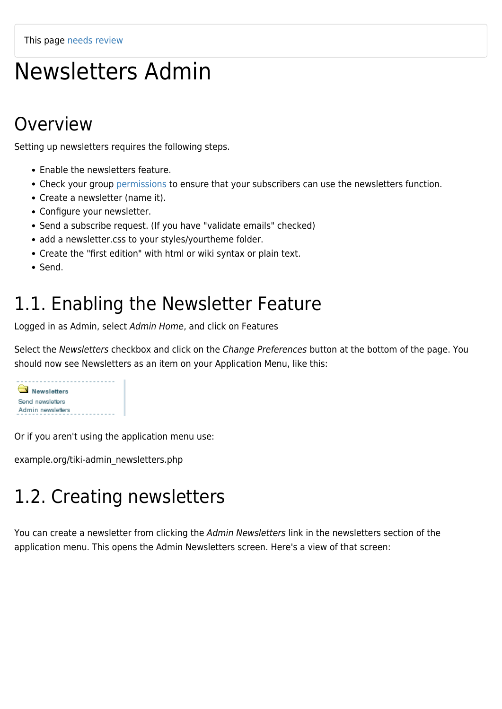This page [needs review](https://doc.tiki.org/needs-review)

# Newsletters Admin

### Overview

Setting up newsletters requires the following steps.

- Enable the newsletters feature.
- Check your group [permissions](https://doc.tiki.org/Permissions) to ensure that your subscribers can use the newsletters function.
- Create a newsletter (name it).
- Configure your newsletter.
- Send a subscribe request. (If you have "validate emails" checked)
- add a newsletter.css to your styles/yourtheme folder.
- Create the "first edition" with html or wiki syntax or plain text.
- Send.

### 1.1. Enabling the Newsletter Feature

Logged in as Admin, select Admin Home, and click on Features

Select the Newsletters checkbox and click on the Change Preferences button at the bottom of the page. You should now see Newsletters as an item on your Application Menu, like this:



Or if you aren't using the application menu use:

example.org/tiki-admin\_newsletters.php

## 1.2. Creating newsletters

You can create a newsletter from clicking the Admin Newsletters link in the newsletters section of the application menu. This opens the Admin Newsletters screen. Here's a view of that screen: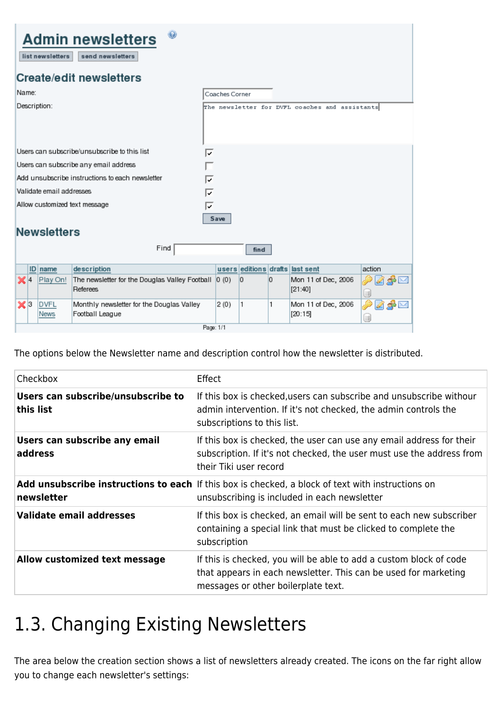| $\odot$<br><b>Admin newsletters</b><br>list newsletters<br>send newsletters |                    |                                              |                                                                   |                |       |   |   |                                                |  |           |  |
|-----------------------------------------------------------------------------|--------------------|----------------------------------------------|-------------------------------------------------------------------|----------------|-------|---|---|------------------------------------------------|--|-----------|--|
| <b>Create/edit newsletters</b>                                              |                    |                                              |                                                                   |                |       |   |   |                                                |  |           |  |
|                                                                             | Name:              |                                              |                                                                   | Coaches Corner |       |   |   |                                                |  |           |  |
|                                                                             | Description:       |                                              |                                                                   |                |       |   |   | The newsletter for DVFL coaches and assistants |  |           |  |
|                                                                             |                    | Users can subscribe/unsubscribe to this list |                                                                   |                |       |   |   |                                                |  |           |  |
|                                                                             |                    |                                              | Users can subscribe any email address                             |                |       |   |   |                                                |  |           |  |
|                                                                             |                    |                                              | Add unsubscribe instructions to each newsletter                   | ⊽              |       |   |   |                                                |  |           |  |
| Validate email addresses                                                    |                    |                                              |                                                                   |                |       |   |   |                                                |  |           |  |
| Allow customized text message<br>⊽                                          |                    |                                              |                                                                   |                |       |   |   |                                                |  |           |  |
|                                                                             | Save               |                                              |                                                                   |                |       |   |   |                                                |  |           |  |
|                                                                             | <b>Newsletters</b> |                                              |                                                                   |                |       |   |   |                                                |  |           |  |
|                                                                             | Find<br>find       |                                              |                                                                   |                |       |   |   |                                                |  |           |  |
|                                                                             | ID                 | name                                         | description                                                       |                | users |   |   | editions drafts last sent                      |  | action    |  |
|                                                                             | $\mathbb{X}$ 14    | Play On!                                     | The newsletter for the Douglas Valley Football<br><b>Referees</b> |                | 0(0)  | 0 | 0 | Mon 11 of Dec, 2006<br>[21:40]                 |  | 48 M<br>U |  |
|                                                                             | $\mathbf{x}$ 3     | <b>DVFL</b><br>News                          | Monthly newsletter for the Douglas Valley<br>Football League      |                | 2(0)  | 1 | 1 | Mon 11 of Dec, 2006<br>[20:15]                 |  | M<br>u    |  |
|                                                                             | Page: 1/1          |                                              |                                                                   |                |       |   |   |                                                |  |           |  |

The options below the Newsletter name and description control how the newsletter is distributed.

| Checkbox                                        | Effect                                                                                                                                                                       |
|-------------------------------------------------|------------------------------------------------------------------------------------------------------------------------------------------------------------------------------|
| Users can subscribe/unsubscribe to<br>this list | If this box is checked, users can subscribe and unsubscribe withour<br>admin intervention. If it's not checked, the admin controls the<br>subscriptions to this list.        |
| Users can subscribe any email<br>address        | If this box is checked, the user can use any email address for their<br>subscription. If it's not checked, the user must use the address from<br>their Tiki user record      |
| newsletter                                      | Add unsubscribe instructions to each If this box is checked, a block of text with instructions on<br>unsubscribing is included in each newsletter                            |
| Validate email addresses                        | If this box is checked, an email will be sent to each new subscriber<br>containing a special link that must be clicked to complete the<br>subscription                       |
| Allow customized text message                   | If this is checked, you will be able to add a custom block of code<br>that appears in each newsletter. This can be used for marketing<br>messages or other boilerplate text. |

## 1.3. Changing Existing Newsletters

The area below the creation section shows a list of newsletters already created. The icons on the far right allow you to change each newsletter's settings: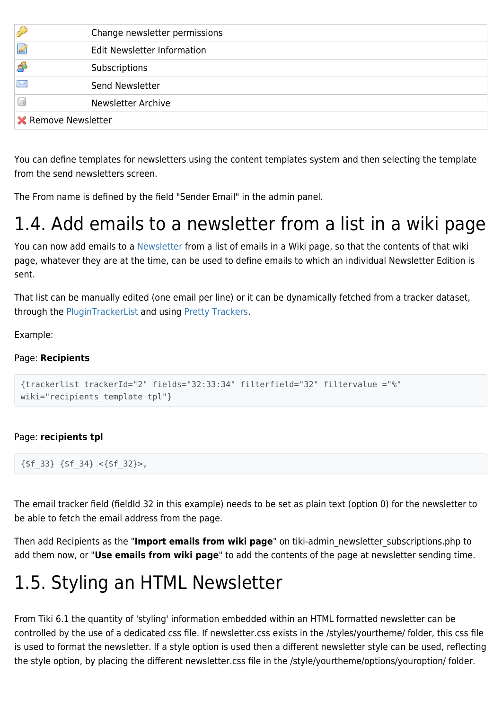|                            | Change newsletter permissions      |  |
|----------------------------|------------------------------------|--|
| Ø                          | <b>Edit Newsletter Information</b> |  |
| S.                         | Subscriptions                      |  |
| $\overline{\times}$        | Send Newsletter                    |  |
|                            | <b>Newsletter Archive</b>          |  |
| <b>X</b> Remove Newsletter |                                    |  |

You can define templates for newsletters using the content templates system and then selecting the template from the send newsletters screen.

The From name is defined by the field "Sender Email" in the admin panel.

## 1.4. Add emails to a newsletter from a list in a wiki page

You can now add emails to a [Newsletter](https://doc.tiki.org/Newsletter) from a list of emails in a Wiki page, so that the contents of that wiki page, whatever they are at the time, can be used to define emails to which an individual Newsletter Edition is sent.

That list can be manually edited (one email per line) or it can be dynamically fetched from a tracker dataset, through the [PluginTrackerList](https://doc.tiki.org/PluginTrackerList) and using [Pretty Trackers](https://doc.tiki.org/Pretty%20Trackers).

Example:

#### Page: **Recipients**

```
{trackerlist trackerId="2" fields="32:33:34" filterfield="32" filtervalue ="%"
wiki="recipients template tpl"}
```
#### Page: **recipients tpl**

```
{$f_33} {$f_34} <{$f_32}>,
```
The email tracker field (fieldId 32 in this example) needs to be set as plain text (option 0) for the newsletter to be able to fetch the email address from the page.

Then add Recipients as the "**Import emails from wiki page**" on tiki-admin\_newsletter\_subscriptions.php to add them now, or "**Use emails from wiki page**" to add the contents of the page at newsletter sending time.

## 1.5. Styling an HTML Newsletter

From Tiki 6.1 the quantity of 'styling' information embedded within an HTML formatted newsletter can be controlled by the use of a dedicated css file. If newsletter.css exists in the /styles/yourtheme/ folder, this css file is used to format the newsletter. If a style option is used then a different newsletter style can be used, reflecting the style option, by placing the different newsletter.css file in the /style/yourtheme/options/youroption/ folder.